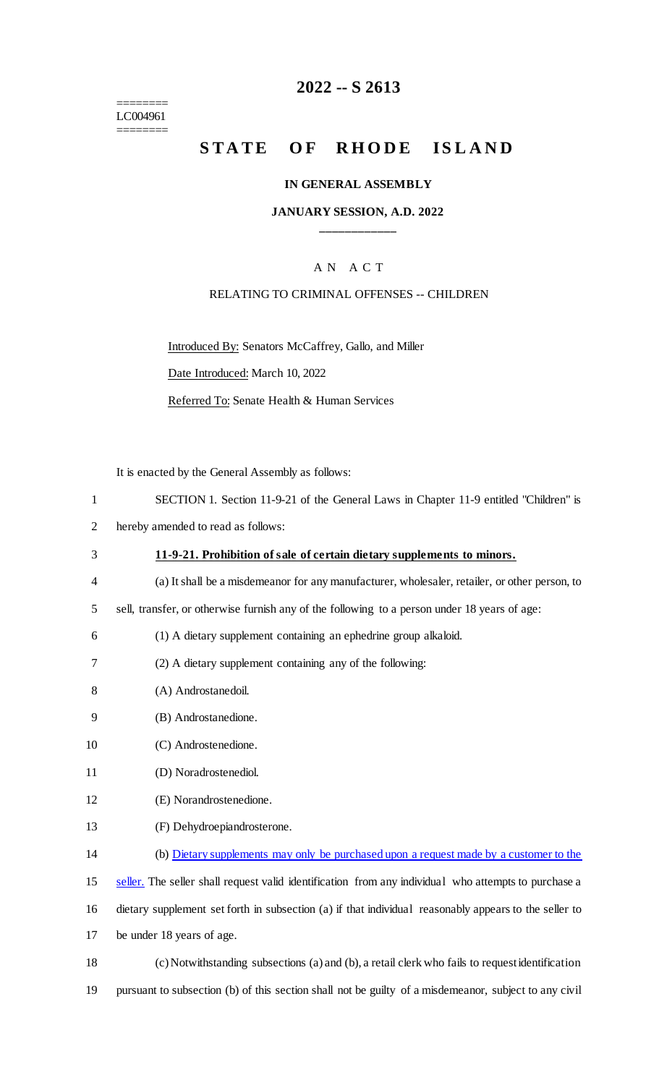======== LC004961 ========

# **2022 -- S 2613**

# **STATE OF RHODE ISLAND**

#### **IN GENERAL ASSEMBLY**

#### **JANUARY SESSION, A.D. 2022 \_\_\_\_\_\_\_\_\_\_\_\_**

### A N A C T

#### RELATING TO CRIMINAL OFFENSES -- CHILDREN

Introduced By: Senators McCaffrey, Gallo, and Miller

Date Introduced: March 10, 2022

Referred To: Senate Health & Human Services

It is enacted by the General Assembly as follows:

|  | SECTION 1. Section 11-9-21 of the General Laws in Chapter 11-9 entitled "Children" is |  |  |  |  |  |  |  |  |  |  |
|--|---------------------------------------------------------------------------------------|--|--|--|--|--|--|--|--|--|--|
|--|---------------------------------------------------------------------------------------|--|--|--|--|--|--|--|--|--|--|

- 2 hereby amended to read as follows:
- 3 **11-9-21. Prohibition of sale of certain dietary supplements to minors.**
- 4 (a) It shall be a misdemeanor for any manufacturer, wholesaler, retailer, or other person, to
- 5 sell, transfer, or otherwise furnish any of the following to a person under 18 years of age:
- 6 (1) A dietary supplement containing an ephedrine group alkaloid.
- 7 (2) A dietary supplement containing any of the following:
- 8 (A) Androstanedoil.
- 9 (B) Androstanedione.
- 10 (C) Androstenedione.
- 11 (D) Noradrostenediol.
- 12 (E) Norandrostenedione.
- 13 (F) Dehydroepiandrosterone.
- 14 (b) Dietary supplements may only be purchased upon a request made by a customer to the

15 seller. The seller shall request valid identification from any individual who attempts to purchase a

16 dietary supplement set forth in subsection (a) if that individual reasonably appears to the seller to

- 17 be under 18 years of age.
- 18 (c) Notwithstanding subsections (a) and (b), a retail clerk who fails to request identification
- 19 pursuant to subsection (b) of this section shall not be guilty of a misdemeanor, subject to any civil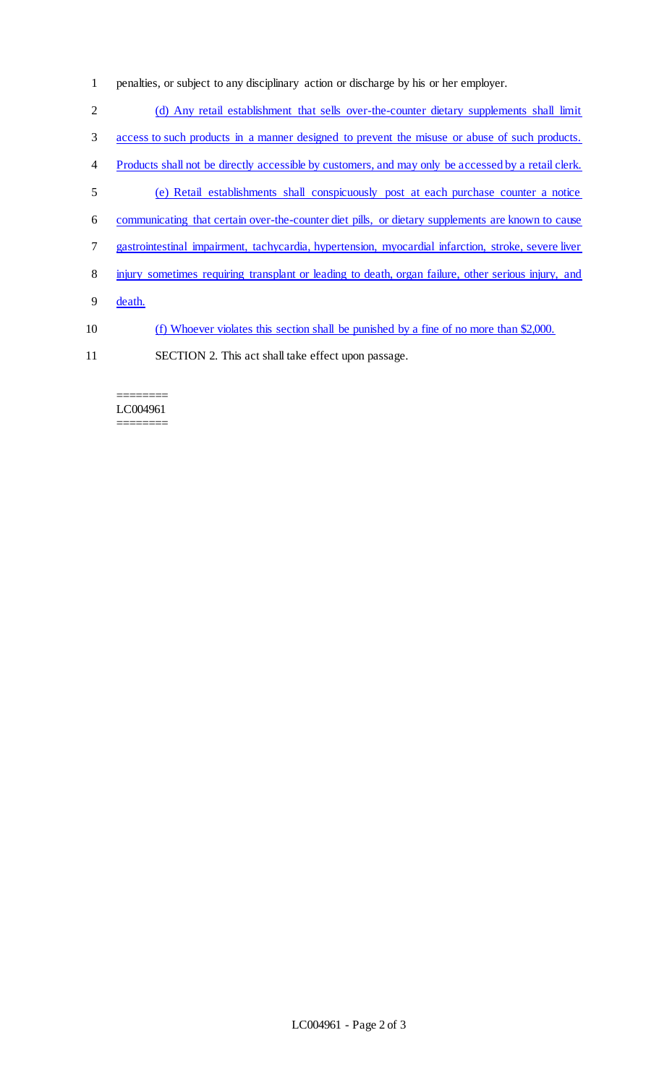- penalties, or subject to any disciplinary action or discharge by his or her employer.
- 2 (d) Any retail establishment that sells over-the-counter dietary supplements shall limit
- access to such products in a manner designed to prevent the misuse or abuse of such products.
- Products shall not be directly accessible by customers, and may only be accessed by a retail clerk.
- (e) Retail establishments shall conspicuously post at each purchase counter a notice
- communicating that certain over-the-counter diet pills, or dietary supplements are known to cause
- gastrointestinal impairment, tachycardia, hypertension, myocardial infarction, stroke, severe liver
- injury sometimes requiring transplant or leading to death, organ failure, other serious injury, and
- death.
- (f) Whoever violates this section shall be punished by a fine of no more than \$2,000.
- SECTION 2. This act shall take effect upon passage.

#### ======== LC004961 ========